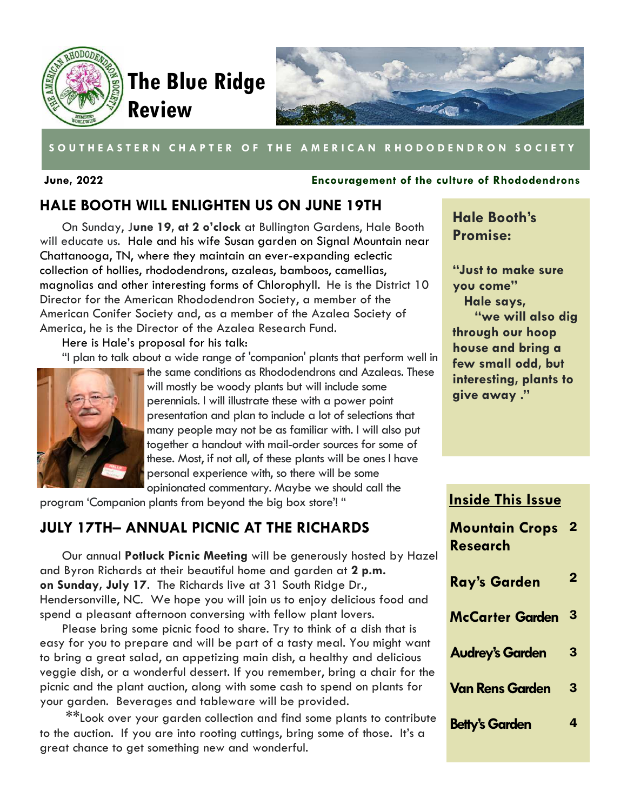



### SOUTHEASTERN CHAPTER OF THE AMERICAN RHODODENDRON SOCIETY

#### **June, 2022 Encouragement of the culture of Rhododendrons**

## **HALE BOOTH WILL ENLIGHTEN US ON JUNE 19TH**

On Sunday, J**une 19, at 2 o'clock** at Bullington Gardens, Hale Booth will educate us. Hale and his wife Susan garden on Signal Mountain near Chattanooga, TN, where they maintain an ever-expanding eclectic collection of hollies, rhododendrons, azaleas, bamboos, camellias, magnolias and other interesting forms of Chlorophyll. He is the District 10 Director for the American Rhododendron Society, a member of the American Conifer Society and, as a member of the Azalea Society of America, he is the Director of the Azalea Research Fund.

Here is Hale's proposal for his talk:

"I plan to talk about a wide range of 'companion' plants that perform well in



the same conditions as Rhododendrons and Azaleas. These will mostly be woody plants but will include some perennials. I will illustrate these with a power point presentation and plan to include a lot of selections that many people may not be as familiar with. I will also put together a handout with mail-order sources for some of these. Most, if not all, of these plants will be ones I have personal experience with, so there will be some opinionated commentary. Maybe we should call the

program 'Companion plants from beyond the big box store'! "

## **JULY 17TH– ANNUAL PICNIC AT THE RICHARDS**

Our annual **Potluck Picnic Meeting** will be generously hosted by Hazel and Byron Richards at their beautiful home and garden at **2 p.m. on Sunday, July 17**. The Richards live at 31 South Ridge Dr., Hendersonville, NC. We hope you will join us to enjoy delicious food and spend a pleasant afternoon conversing with fellow plant lovers.

Please bring some picnic food to share. Try to think of a dish that is easy for you to prepare and will be part of a tasty meal. You might want to bring a great salad, an appetizing main dish, a heaIthy and delicious veggie dish, or a wonderful dessert. If you remember, bring a chair for the picnic and the plant auction, along with some cash to spend on plants for your garden. Beverages and tableware will be provided.

\*\*Look over your garden collection and find some plants to contribute to the auction. If you are into rooting cuttings, bring some of those. It's a great chance to get something new and wonderful.

# **Hale Booth's Promise:**

**"Just to make sure you come" Hale says, "we will also dig through our hoop house and bring a few small odd, but interesting, plants to give away ."** 

## **Inside This Issue**

| اڊ | <b>Mountain Crops</b><br>Research | $\overline{2}$ |
|----|-----------------------------------|----------------|
|    | <b>Ray's Garden</b>               | 2              |
|    | <b>McCarter Garden</b>            | 3              |
|    | <b>Audrey's Garden</b>            | 3              |
|    | <b>Van Rens Garden</b>            | 3              |
| э  | <b>Betty's Garden</b>             |                |
|    |                                   |                |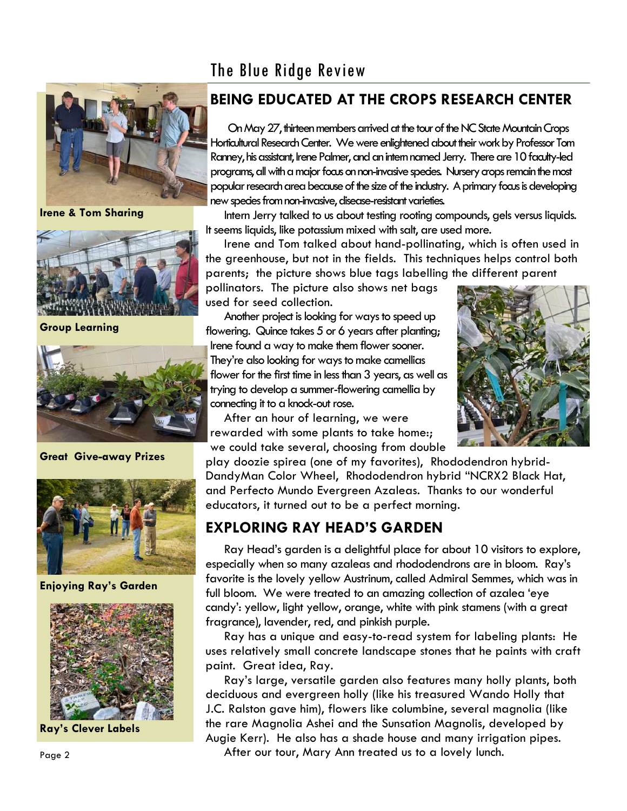# The Blue Ridge Review



**Irene & Tom Sharing** 



**Group Learning** 



**Great Give-away Prizes** 



**Enjoying Ray's Garden** 



**Ray's Clever Labels** 

# **BEING EDUCATED AT THE CROPS RESEARCH CENTER**

On May 27, thirteen members arrived at the tour of the NC State Mountain Crops Horticultural Research Center. We were enlightened about their work by Professor Tom Ranney, his assistant, Irene Palmer, and an intern named Jerry. There are 10 faculty-led programs, all with a major focus on non-invasive species. Nursery crops remain the most popular research area because of the size of the industry. A primary focus is developing new species from non-invasive, disease-resistant varieties.

Intern Jerry talked to us about testing rooting compounds, gels versus liquids. It seems liquids, like potassium mixed with salt, are used more.

Irene and Tom talked about hand-pollinating, which is often used in the greenhouse, but not in the fields. This techniques helps control both parents; the picture shows blue tags labelling the different parent

pollinators. The picture also shows net bags used for seed collection.

Another project is looking for ways to speed up flowering. Quince takes 5 or 6 years after planting; Irene found a way to make them flower sooner. They're also looking for ways to make camellias flower for the first time in less than 3 years, as well as trying to develop a summer-flowering camellia by connecting it to a knock-out rose.

After an hour of learning, we were rewarded with some plants to take home:; we could take several, choosing from double



play doozie spirea (one of my favorites), Rhododendron hybrid-DandyMan Color Wheel, Rhododendron hybrid "NCRX2 Black Hat, and Perfecto Mundo Evergreen Azaleas. Thanks to our wonderful educators, it turned out to be a perfect morning.

# **EXPLORING RAY HEAD'S GARDEN**

Ray Head's garden is a delightful place for about 10 visitors to explore, especially when so many azaleas and rhododendrons are in bloom. Ray's favorite is the lovely yellow Austrinum, called Admiral Semmes, which was in full bloom. We were treated to an amazing collection of azalea 'eye candy': yellow, light yellow, orange, white with pink stamens (with a great fragrance), lavender, red, and pinkish purple.

Ray has a unique and easy-to-read system for labeling plants: He uses relatively small concrete landscape stones that he paints with craft paint. Great idea, Ray.

Ray's large, versatile garden also features many holly plants, both deciduous and evergreen holly (like his treasured Wando Holly that J.C. Ralston gave him), flowers like columbine, several magnolia (like the rare Magnolia Ashei and the Sunsation Magnolis, developed by Augie Kerr). He also has a shade house and many irrigation pipes.

After our tour, Mary Ann treated us to a lovely lunch.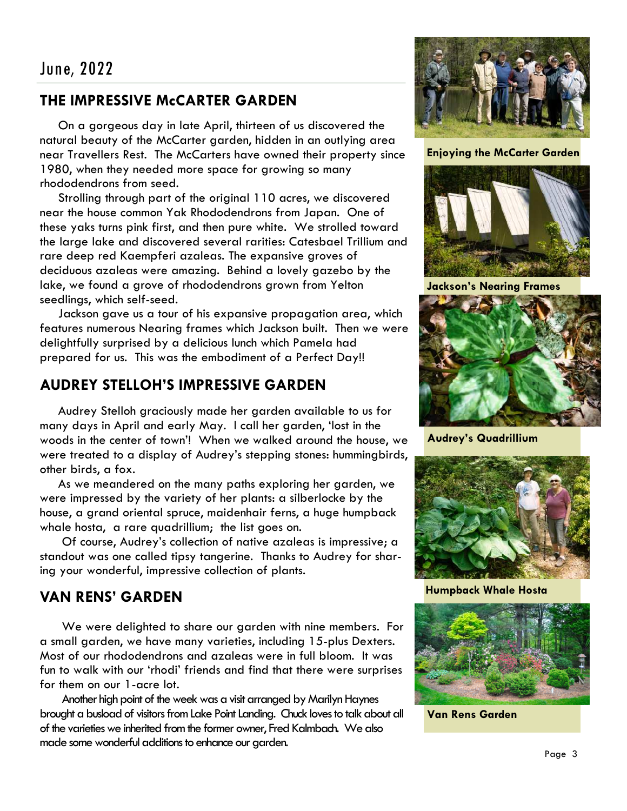# **THE IMPRESSIVE McCARTER GARDEN**

On a gorgeous day in late April, thirteen of us discovered the natural beauty of the McCarter garden, hidden in an outlying area near Travellers Rest. The McCarters have owned their property since 1980, when they needed more space for growing so many rhododendrons from seed.

Strolling through part of the original 110 acres, we discovered near the house common Yak Rhododendrons from Japan. One of these yaks turns pink first, and then pure white. We strolled toward the large lake and discovered several rarities: Catesbael Trillium and rare deep red Kaempferi azaleas. The expansive groves of deciduous azaleas were amazing. Behind a lovely gazebo by the lake, we found a grove of rhododendrons grown from Yelton seedlings, which self-seed.

Jackson gave us a tour of his expansive propagation area, which features numerous Nearing frames which Jackson built. Then we were delightfully surprised by a delicious lunch which Pamela had prepared for us. This was the embodiment of a Perfect Day!!

# **AUDREY STELLOH'S IMPRESSIVE GARDEN**

Audrey Stelloh graciously made her garden available to us for many days in April and early May. I call her garden, 'lost in the woods in the center of town'! When we walked around the house, we were treated to a display of Audrey's stepping stones: hummingbirds, other birds, a fox.

As we meandered on the many paths exploring her garden, we were impressed by the variety of her plants: a silberlocke by the house, a grand oriental spruce, maidenhair ferns, a huge humpback whale hosta, a rare quadrillium; the list goes on.

Of course, Audrey's collection of native azaleas is impressive; a standout was one called tipsy tangerine. Thanks to Audrey for sharing your wonderful, impressive collection of plants.

# **VAN RENS' GARDEN**

We were delighted to share our garden with nine members. For a small garden, we have many varieties, including 15-plus Dexters. Most of our rhododendrons and azaleas were in full bloom. It was fun to walk with our 'rhodi' friends and find that there were surprises for them on our 1-acre lot.

Another high point of the week was a visit arranged by Marilyn Haynes brought a busload of visitors from Lake Point Landing. Chuck loves to talk about all of the varieties we inherited from the former owner, Fred Kalmbach. We also made some wonderful additions to enhance our garden.



#### **Enjoying the McCarter Garden**



**Jackson's Nearing Frames** 



**Audrey's Quadrillium** 



**Humpback Whale Hosta** 



**Van Rens Garden**